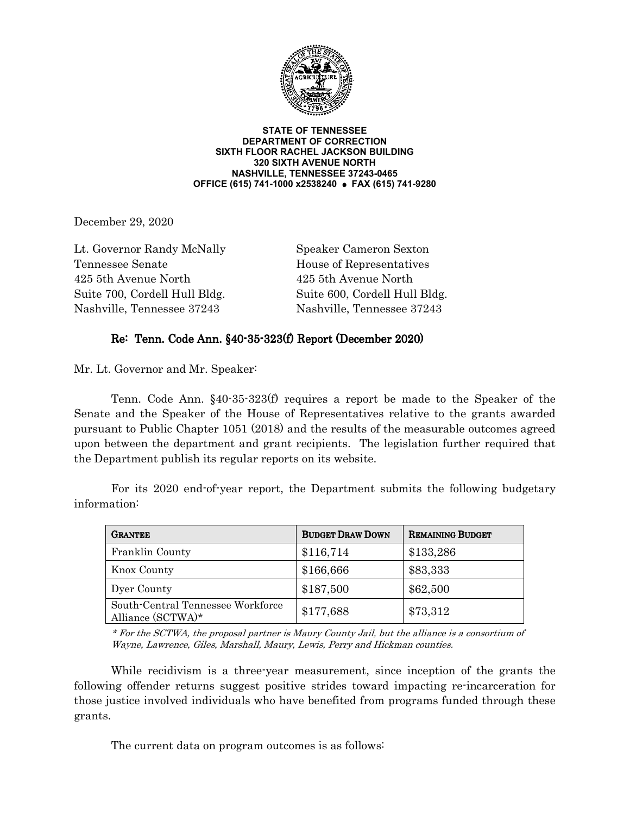

**STATE OF TENNESSEE DEPARTMENT OF CORRECTION SIXTH FLOOR RACHEL JACKSON BUILDING 320 SIXTH AVENUE NORTH NASHVILLE, TENNESSEE 37243-0465 OFFICE (615) 741-1000 x2538240 FAX (615) 741-9280**

December 29, 2020

Lt. Governor Randy McNally Speaker Cameron Sexton Tennessee Senate House of Representatives 425 5th Avenue North 425 5th Avenue North Suite 700, Cordell Hull Bldg. Suite 600, Cordell Hull Bldg. Nashville, Tennessee 37243 Nashville, Tennessee 37243

## Re: Tenn. Code Ann. §40-35-323(f) Report (December 2020)

Mr. Lt. Governor and Mr. Speaker:

 Tenn. Code Ann. §40-35-323(f) requires a report be made to the Speaker of the Senate and the Speaker of the House of Representatives relative to the grants awarded pursuant to Public Chapter 1051 (2018) and the results of the measurable outcomes agreed upon between the department and grant recipients. The legislation further required that the Department publish its regular reports on its website.

| <b>GRANTEE</b>                                         | <b>BUDGET DRAW DOWN</b> | <b>REMAINING BUDGET</b> |
|--------------------------------------------------------|-------------------------|-------------------------|
| Franklin County                                        | \$116,714               | \$133,286               |
| Knox County                                            | \$166,666               | \$83,333                |
| Dyer County                                            | \$187,500               | \$62,500                |
| South-Central Tennessee Workforce<br>Alliance (SCTWA)* | \$177,688               | \$73,312                |

 For its 2020 end-of-year report, the Department submits the following budgetary information:

\* For the SCTWA, the proposal partner is Maury County Jail, but the alliance is a consortium of Wayne, Lawrence, Giles, Marshall, Maury, Lewis, Perry and Hickman counties.

 While recidivism is a three-year measurement, since inception of the grants the following offender returns suggest positive strides toward impacting re-incarceration for those justice involved individuals who have benefited from programs funded through these grants.

The current data on program outcomes is as follows: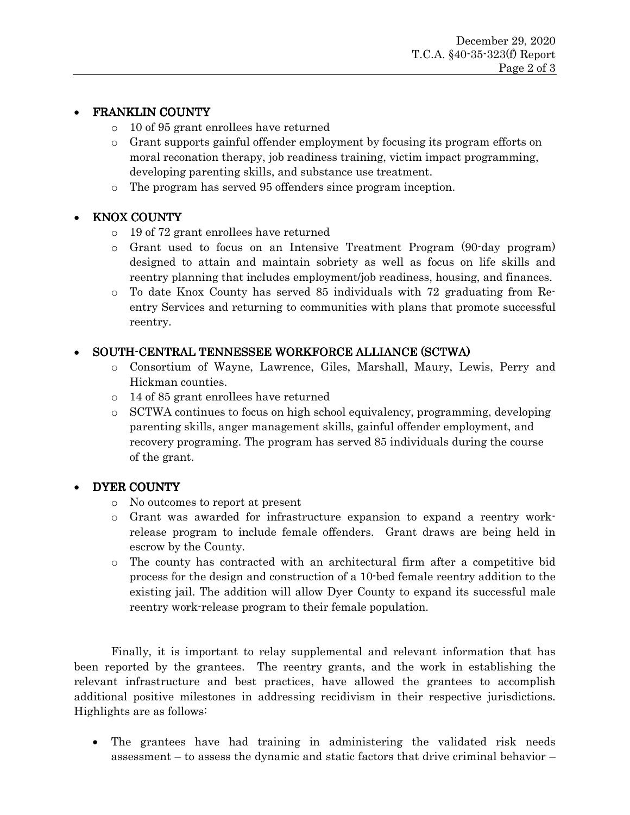# FRANKLIN COUNTY

- o 10 of 95 grant enrollees have returned
- o Grant supports gainful offender employment by focusing its program efforts on moral reconation therapy, job readiness training, victim impact programming, developing parenting skills, and substance use treatment.
- o The program has served 95 offenders since program inception.

## KNOX COUNTY

- o 19 of 72 grant enrollees have returned
- o Grant used to focus on an Intensive Treatment Program (90-day program) designed to attain and maintain sobriety as well as focus on life skills and reentry planning that includes employment/job readiness, housing, and finances.
- o To date Knox County has served 85 individuals with 72 graduating from Reentry Services and returning to communities with plans that promote successful reentry.

# SOUTH-CENTRAL TENNESSEE WORKFORCE ALLIANCE (SCTWA)

- o Consortium of Wayne, Lawrence, Giles, Marshall, Maury, Lewis, Perry and Hickman counties.
- o 14 of 85 grant enrollees have returned
- o SCTWA continues to focus on high school equivalency, programming, developing parenting skills, anger management skills, gainful offender employment, and recovery programing. The program has served 85 individuals during the course of the grant.

## DYER COUNTY

- o No outcomes to report at present
- o Grant was awarded for infrastructure expansion to expand a reentry workrelease program to include female offenders. Grant draws are being held in escrow by the County.
- o The county has contracted with an architectural firm after a competitive bid process for the design and construction of a 10-bed female reentry addition to the existing jail. The addition will allow Dyer County to expand its successful male reentry work-release program to their female population.

 Finally, it is important to relay supplemental and relevant information that has been reported by the grantees. The reentry grants, and the work in establishing the relevant infrastructure and best practices, have allowed the grantees to accomplish additional positive milestones in addressing recidivism in their respective jurisdictions. Highlights are as follows:

 The grantees have had training in administering the validated risk needs assessment – to assess the dynamic and static factors that drive criminal behavior –